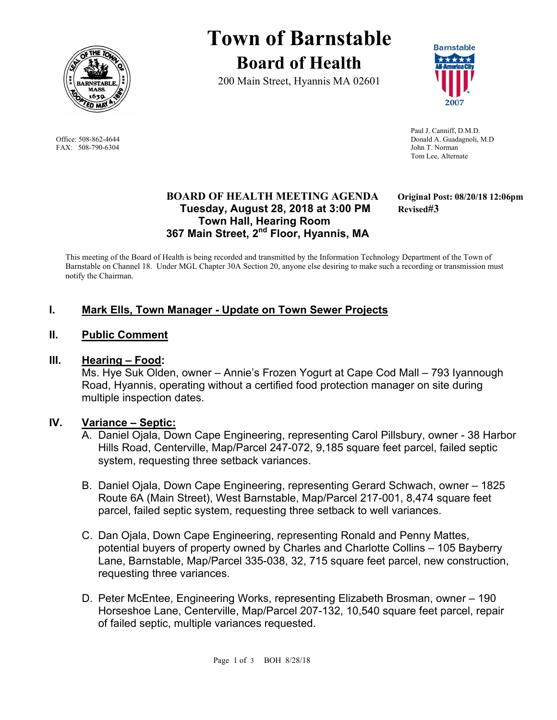

FAX: 508-790-6304 John T. Norman

# **Town of Barnstable Board of Health**

200 Main Street, Hyannis MA 02601



 Paul J. Canniff, D.M.D. Office: 508-862-4644 Donald A. Guadagnoli, M.D Tom Lee, Alternate

## **BOARD OF HEALTH MEETING AGENDA Original Post: 08/20/18 12:06pm Tuesday, August 28, 2018 at 3:00 PM Revised#3 Town Hall, Hearing Room 367 Main Street, 2nd Floor, Hyannis, MA**

This meeting of the Board of Health is being recorded and transmitted by the Information Technology Department of the Town of Barnstable on Channel 18. Under MGL Chapter 30A Section 20, anyone else desiring to make such a recording or transmission must notify the Chairman.

# **I. Mark Ells, Town Manager - Update on Town Sewer Projects**

#### **II. Public Comment**

#### **III. Hearing – Food:**

Ms. Hye Suk Olden, owner – Annie's Frozen Yogurt at Cape Cod Mall – 793 Iyannough Road, Hyannis, operating without a certified food protection manager on site during multiple inspection dates.

#### **IV. Variance – Septic:**

- A. Daniel Ojala, Down Cape Engineering, representing Carol Pillsbury, owner 38 Harbor Hills Road, Centerville, Map/Parcel 247-072, 9,185 square feet parcel, failed septic system, requesting three setback variances.
- B. Daniel Ojala, Down Cape Engineering, representing Gerard Schwach, owner 1825 Route 6A (Main Street), West Barnstable, Map/Parcel 217-001, 8,474 square feet parcel, failed septic system, requesting three setback to well variances.
- C. Dan Ojala, Down Cape Engineering, representing Ronald and Penny Mattes, potential buyers of property owned by Charles and Charlotte Collins – 105 Bayberry Lane, Barnstable, Map/Parcel 335-038, 32, 715 square feet parcel, new construction, requesting three variances.
- D. Peter McEntee, Engineering Works, representing Elizabeth Brosman, owner 190 Horseshoe Lane, Centerville, Map/Parcel 207-132, 10,540 square feet parcel, repair of failed septic, multiple variances requested.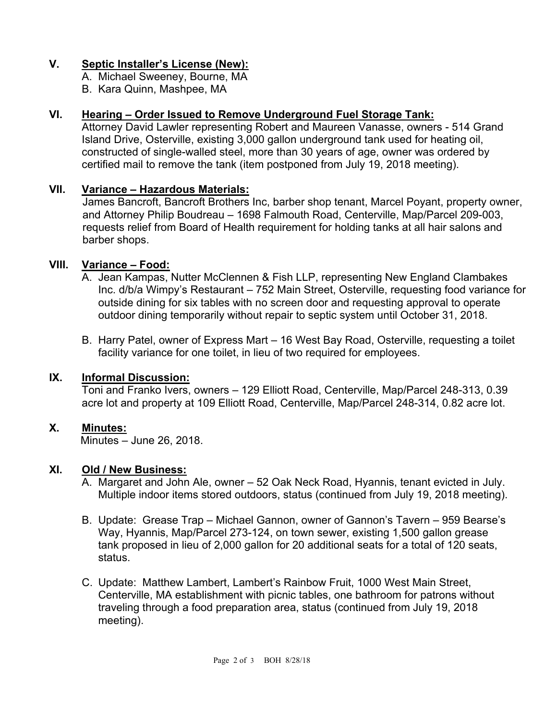# **V. Septic Installer's License (New):**

A. Michael Sweeney, Bourne, MA

B. Kara Quinn, Mashpee, MA

# **VI. Hearing – Order Issued to Remove Underground Fuel Storage Tank:**

Attorney David Lawler representing Robert and Maureen Vanasse, owners - 514 Grand Island Drive, Osterville, existing 3,000 gallon underground tank used for heating oil, constructed of single-walled steel, more than 30 years of age, owner was ordered by certified mail to remove the tank (item postponed from July 19, 2018 meeting).

# **VII. Variance – Hazardous Materials:**

James Bancroft, Bancroft Brothers Inc, barber shop tenant, Marcel Poyant, property owner, and Attorney Philip Boudreau – 1698 Falmouth Road, Centerville, Map/Parcel 209-003, requests relief from Board of Health requirement for holding tanks at all hair salons and barber shops.

# **VIII. Variance – Food:**

- A. Jean Kampas, Nutter McClennen & Fish LLP, representing New England Clambakes Inc. d/b/a Wimpy's Restaurant – 752 Main Street, Osterville, requesting food variance for outside dining for six tables with no screen door and requesting approval to operate outdoor dining temporarily without repair to septic system until October 31, 2018.
- B. Harry Patel, owner of Express Mart 16 West Bay Road, Osterville, requesting a toilet facility variance for one toilet, in lieu of two required for employees.

## **IX. Informal Discussion:**

Toni and Franko Ivers, owners – 129 Elliott Road, Centerville, Map/Parcel 248-313, 0.39 acre lot and property at 109 Elliott Road, Centerville, Map/Parcel 248-314, 0.82 acre lot.

## **X. Minutes:**

Minutes – June 26, 2018.

## **XI. Old / New Business:**

- A. Margaret and John Ale, owner 52 Oak Neck Road, Hyannis, tenant evicted in July. Multiple indoor items stored outdoors, status (continued from July 19, 2018 meeting).
- B. Update: Grease Trap Michael Gannon, owner of Gannon's Tavern 959 Bearse's Way, Hyannis, Map/Parcel 273-124, on town sewer, existing 1,500 gallon grease tank proposed in lieu of 2,000 gallon for 20 additional seats for a total of 120 seats, status.
- C. Update: Matthew Lambert, Lambert's Rainbow Fruit, 1000 West Main Street, Centerville, MA establishment with picnic tables, one bathroom for patrons without traveling through a food preparation area, status (continued from July 19, 2018 meeting).